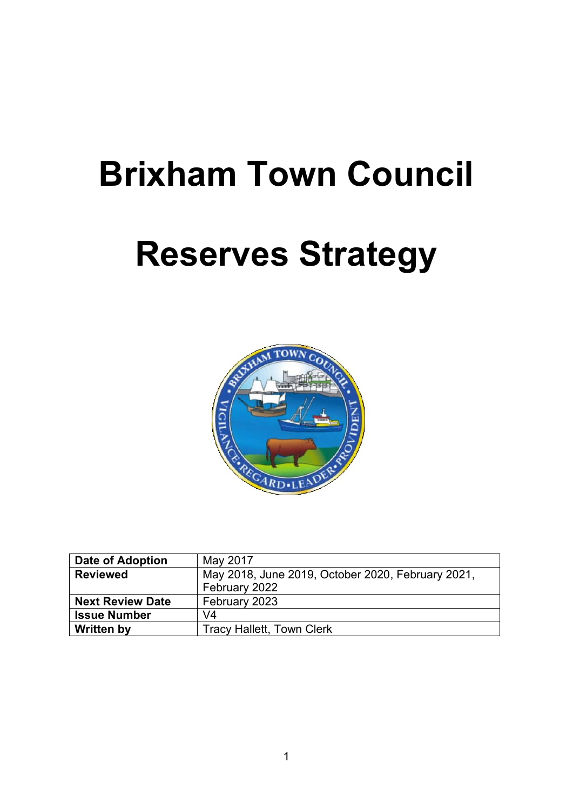# **Brixham Town Council**

# **Reserves Strategy**



| Date of Adoption        | May 2017                                          |
|-------------------------|---------------------------------------------------|
| <b>Reviewed</b>         | May 2018, June 2019, October 2020, February 2021, |
|                         | February 2022                                     |
| <b>Next Review Date</b> | February 2023                                     |
| <b>Issue Number</b>     | V <sub>4</sub>                                    |
| <b>Written by</b>       | <b>Tracy Hallett, Town Clerk</b>                  |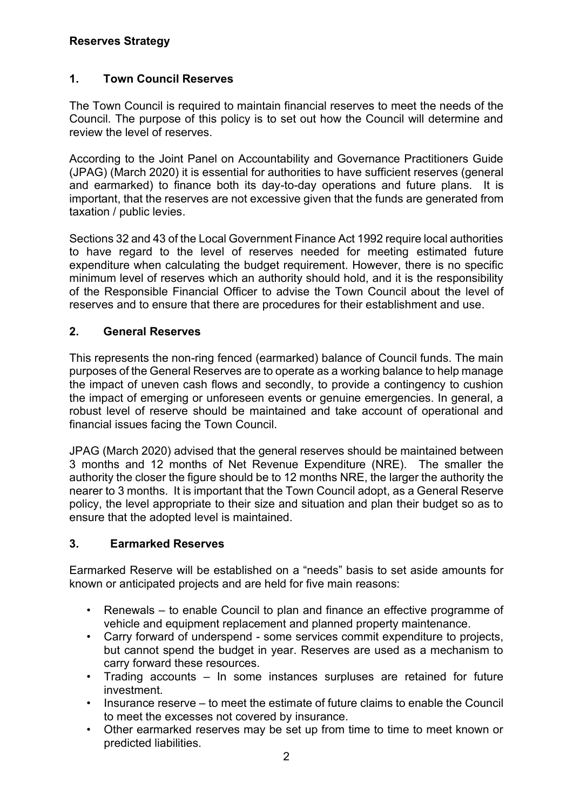#### **Reserves Strategy**

### **1. Town Council Reserves**

The Town Council is required to maintain financial reserves to meet the needs of the Council. The purpose of this policy is to set out how the Council will determine and review the level of reserves.

According to the Joint Panel on Accountability and Governance Practitioners Guide (JPAG) (March 2020) it is essential for authorities to have sufficient reserves (general and earmarked) to finance both its day-to-day operations and future plans. It is important, that the reserves are not excessive given that the funds are generated from taxation / public levies.

Sections 32 and 43 of the Local Government Finance Act 1992 require local authorities to have regard to the level of reserves needed for meeting estimated future expenditure when calculating the budget requirement. However, there is no specific minimum level of reserves which an authority should hold, and it is the responsibility of the Responsible Financial Officer to advise the Town Council about the level of reserves and to ensure that there are procedures for their establishment and use.

#### **2. General Reserves**

This represents the non-ring fenced (earmarked) balance of Council funds. The main purposes of the General Reserves are to operate as a working balance to help manage the impact of uneven cash flows and secondly, to provide a contingency to cushion the impact of emerging or unforeseen events or genuine emergencies. In general, a robust level of reserve should be maintained and take account of operational and financial issues facing the Town Council.

JPAG (March 2020) advised that the general reserves should be maintained between 3 months and 12 months of Net Revenue Expenditure (NRE). The smaller the authority the closer the figure should be to 12 months NRE, the larger the authority the nearer to 3 months. It is important that the Town Council adopt, as a General Reserve policy, the level appropriate to their size and situation and plan their budget so as to ensure that the adopted level is maintained.

#### **3. Earmarked Reserves**

Earmarked Reserve will be established on a "needs" basis to set aside amounts for known or anticipated projects and are held for five main reasons:

- Renewals to enable Council to plan and finance an effective programme of vehicle and equipment replacement and planned property maintenance.
- Carry forward of underspend some services commit expenditure to projects, but cannot spend the budget in year. Reserves are used as a mechanism to carry forward these resources.
- Trading accounts In some instances surpluses are retained for future investment.
- Insurance reserve to meet the estimate of future claims to enable the Council to meet the excesses not covered by insurance.
- Other earmarked reserves may be set up from time to time to meet known or predicted liabilities.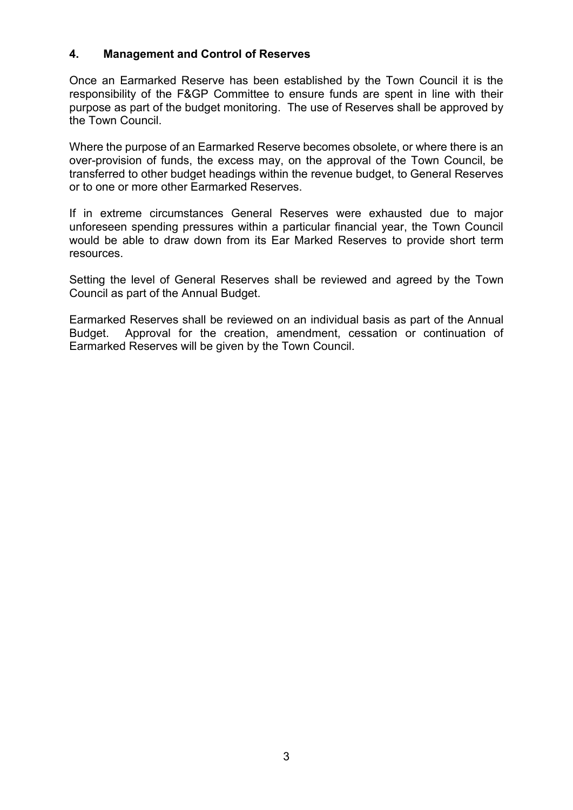#### **4. Management and Control of Reserves**

Once an Earmarked Reserve has been established by the Town Council it is the responsibility of the F&GP Committee to ensure funds are spent in line with their purpose as part of the budget monitoring. The use of Reserves shall be approved by the Town Council.

Where the purpose of an Earmarked Reserve becomes obsolete, or where there is an over-provision of funds, the excess may, on the approval of the Town Council, be transferred to other budget headings within the revenue budget, to General Reserves or to one or more other Earmarked Reserves.

If in extreme circumstances General Reserves were exhausted due to major unforeseen spending pressures within a particular financial year, the Town Council would be able to draw down from its Ear Marked Reserves to provide short term resources.

Setting the level of General Reserves shall be reviewed and agreed by the Town Council as part of the Annual Budget.

Earmarked Reserves shall be reviewed on an individual basis as part of the Annual Budget. Approval for the creation, amendment, cessation or continuation of Earmarked Reserves will be given by the Town Council.